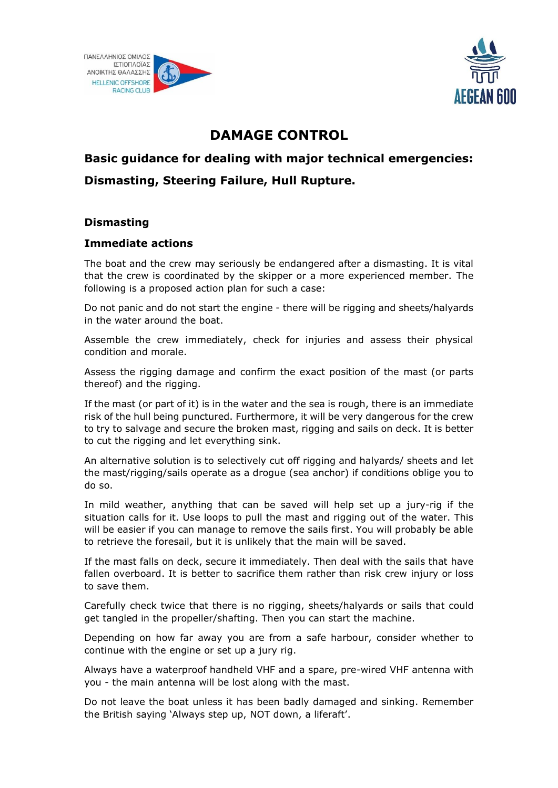



# **DAMAGE CONTROL**

# **Basic guidance for dealing with major technical emergencies: Dismasting, Steering Failure, Hull Rupture.**

# **Dismasting**

# **Immediate actions**

The boat and the crew may seriously be endangered after a dismasting. It is vital that the crew is coordinated by the skipper or a more experienced member. The following is a proposed action plan for such a case:

Do not panic and do not start the engine - there will be rigging and sheets/halyards in the water around the boat.

Assemble the crew immediately, check for injuries and assess their physical condition and morale.

Assess the rigging damage and confirm the exact position of the mast (or parts thereof) and the rigging.

If the mast (or part of it) is in the water and the sea is rough, there is an immediate risk of the hull being punctured. Furthermore, it will be very dangerous for the crew to try to salvage and secure the broken mast, rigging and sails on deck. It is better to cut the rigging and let everything sink.

An alternative solution is to selectively cut off rigging and halyards/ sheets and let the mast/rigging/sails operate as a drogue (sea anchor) if conditions oblige you to do so.

In mild weather, anything that can be saved will help set up a jury-rig if the situation calls for it. Use loops to pull the mast and rigging out of the water. This will be easier if you can manage to remove the sails first. You will probably be able to retrieve the foresail, but it is unlikely that the main will be saved.

If the mast falls on deck, secure it immediately. Then deal with the sails that have fallen overboard. It is better to sacrifice them rather than risk crew injury or loss to save them.

Carefully check twice that there is no rigging, sheets/halyards or sails that could get tangled in the propeller/shafting. Then you can start the machine.

Depending on how far away you are from a safe harbour, consider whether to continue with the engine or set up a jury rig.

Always have a waterproof handheld VHF and a spare, pre-wired VHF antenna with you - the main antenna will be lost along with the mast.

Do not leave the boat unless it has been badly damaged and sinking. Remember the British saying 'Always step up, NOT down, a liferaft'.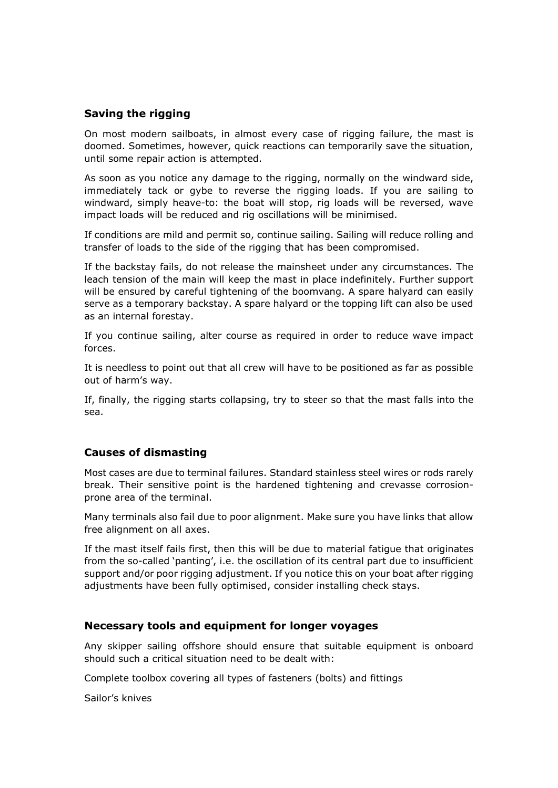### **Saving the rigging**

On most modern sailboats, in almost every case of rigging failure, the mast is doomed. Sometimes, however, quick reactions can temporarily save the situation, until some repair action is attempted.

As soon as you notice any damage to the rigging, normally on the windward side, immediately tack or gybe to reverse the rigging loads. If you are sailing to windward, simply heave-to: the boat will stop, rig loads will be reversed, wave impact loads will be reduced and rig oscillations will be minimised.

If conditions are mild and permit so, continue sailing. Sailing will reduce rolling and transfer of loads to the side of the rigging that has been compromised.

If the backstay fails, do not release the mainsheet under any circumstances. The leach tension of the main will keep the mast in place indefinitely. Further support will be ensured by careful tightening of the boomvang. A spare halyard can easily serve as a temporary backstay. A spare halyard or the topping lift can also be used as an internal forestay.

If you continue sailing, alter course as required in order to reduce wave impact forces.

It is needless to point out that all crew will have to be positioned as far as possible out of harm's way.

If, finally, the rigging starts collapsing, try to steer so that the mast falls into the sea.

#### **Causes of dismasting**

Most cases are due to terminal failures. Standard stainless steel wires or rods rarely break. Their sensitive point is the hardened tightening and crevasse corrosionprone area of the terminal.

Many terminals also fail due to poor alignment. Make sure you have links that allow free alignment on all axes.

If the mast itself fails first, then this will be due to material fatigue that originates from the so-called 'panting', i.e. the oscillation of its central part due to insufficient support and/or poor rigging adjustment. If you notice this on your boat after rigging adjustments have been fully optimised, consider installing check stays.

#### **Necessary tools and equipment for longer voyages**

Any skipper sailing offshore should ensure that suitable equipment is onboard should such a critical situation need to be dealt with:

Complete toolbox covering all types of fasteners (bolts) and fittings

Sailor's knives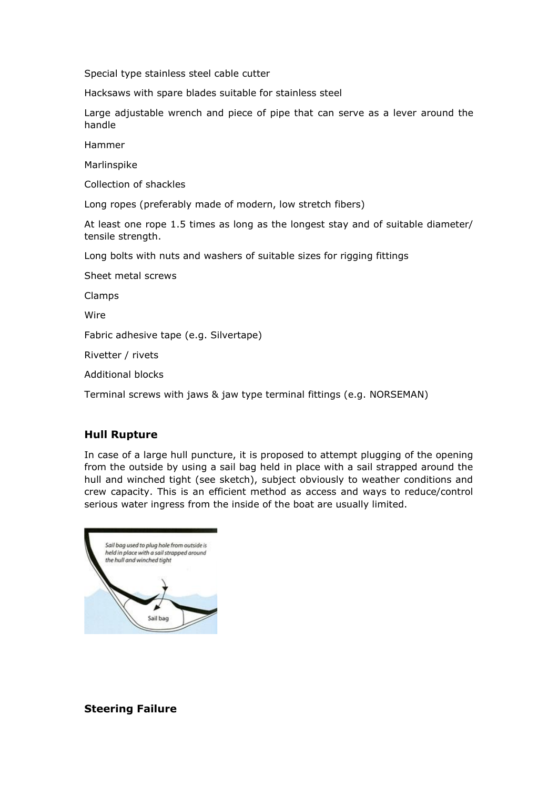Special type stainless steel cable cutter

Hacksaws with spare blades suitable for stainless steel

Large adjustable wrench and piece of pipe that can serve as a lever around the handle

Hammer

Marlinspike

Collection of shackles

Long ropes (preferably made of modern, low stretch fibers)

At least one rope 1.5 times as long as the longest stay and of suitable diameter/ tensile strength.

Long bolts with nuts and washers of suitable sizes for rigging fittings

Sheet metal screws

Clamps

Wire

Fabric adhesive tape (e.g. Silvertape)

Rivetter / rivets

Additional blocks

Terminal screws with jaws & jaw type terminal fittings (e.g. NORSEMAN)

#### **Hull Rupture**

In case of a large hull puncture, it is proposed to attempt plugging of the opening from the outside by using a sail bag held in place with a sail strapped around the hull and winched tight (see sketch), subject obviously to weather conditions and crew capacity. This is an efficient method as access and ways to reduce/control serious water ingress from the inside of the boat are usually limited.



**Steering Failure**